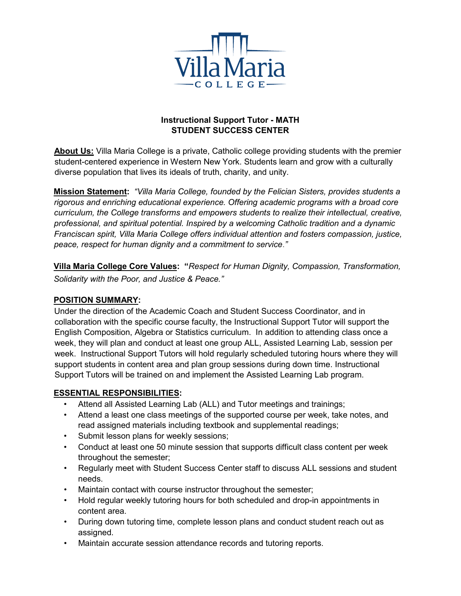

# **Instructional Support Tutor - MATH STUDENT SUCCESS CENTER**

**About Us:** Villa Maria College is a private, Catholic college providing students with the premier student-centered experience in Western New York. Students learn and grow with a culturally diverse population that lives its ideals of truth, charity, and unity.

**Mission Statement:** *"Villa Maria College, founded by the Felician Sisters, provides students a rigorous and enriching educational experience. Offering academic programs with a broad core curriculum, the College transforms and empowers students to realize their intellectual, creative, professional, and spiritual potential. Inspired by a welcoming Catholic tradition and a dynamic Franciscan spirit, Villa Maria College offers individual attention and fosters compassion, justice, peace, respect for human dignity and a commitment to service*.*"* 

**Villa Maria College Core Values: "***Respect for Human Dignity, Compassion, Transformation, Solidarity with the Poor, and Justice & Peace."* 

## **POSITION SUMMARY:**

Under the direction of the Academic Coach and Student Success Coordinator, and in collaboration with the specific course faculty, the Instructional Support Tutor will support the English Composition, Algebra or Statistics curriculum. In addition to attending class once a week, they will plan and conduct at least one group ALL, Assisted Learning Lab, session per week. Instructional Support Tutors will hold regularly scheduled tutoring hours where they will support students in content area and plan group sessions during down time. Instructional Support Tutors will be trained on and implement the Assisted Learning Lab program.

## **ESSENTIAL RESPONSIBILITIES:**

- Attend all Assisted Learning Lab (ALL) and Tutor meetings and trainings;
- Attend a least one class meetings of the supported course per week, take notes, and read assigned materials including textbook and supplemental readings;
- Submit lesson plans for weekly sessions;
- Conduct at least one 50 minute session that supports difficult class content per week throughout the semester;
- Regularly meet with Student Success Center staff to discuss ALL sessions and student needs.
- Maintain contact with course instructor throughout the semester;
- Hold regular weekly tutoring hours for both scheduled and drop-in appointments in content area.
- During down tutoring time, complete lesson plans and conduct student reach out as assigned.
- Maintain accurate session attendance records and tutoring reports.